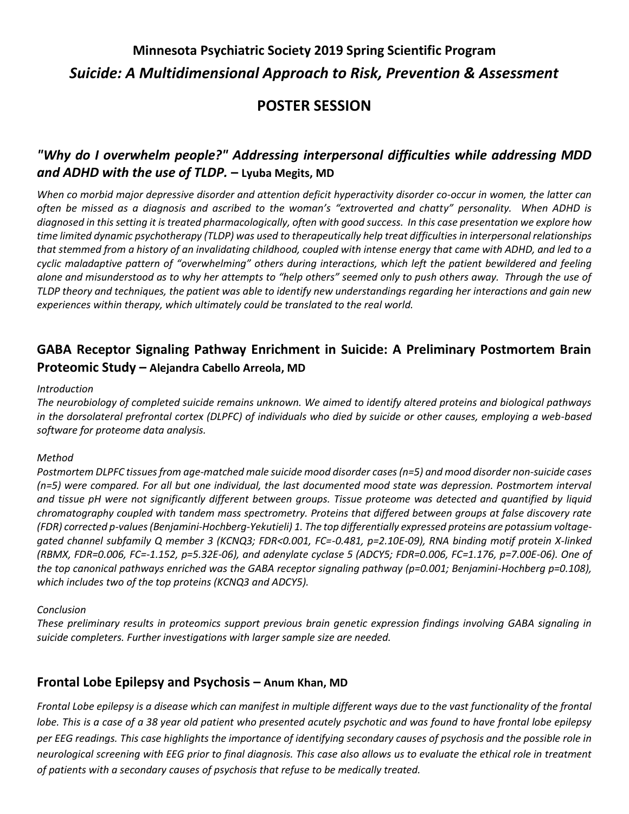# **Minnesota Psychiatric Society 2019 Spring Scientific Program** *Suicide: A Multidimensional Approach to Risk, Prevention & Assessment*

# **POSTER SESSION**

## *"Why do I overwhelm people?" Addressing interpersonal difficulties while addressing MDD and ADHD with the use of TLDP.* **– Lyuba Megits, MD**

*When co morbid major depressive disorder and attention deficit hyperactivity disorder co-occur in women, the latter can often be missed as a diagnosis and ascribed to the woman's "extroverted and chatty" personality. When ADHD is diagnosed in this setting it is treated pharmacologically, often with good success. In this case presentation we explore how time limited dynamic psychotherapy (TLDP) was used to therapeutically help treat difficulties in interpersonal relationships that stemmed from a history of an invalidating childhood, coupled with intense energy that came with ADHD, and led to a cyclic maladaptive pattern of "overwhelming" others during interactions, which left the patient bewildered and feeling alone and misunderstood as to why her attempts to "help others" seemed only to push others away. Through the use of TLDP theory and techniques, the patient was able to identify new understandings regarding her interactions and gain new experiences within therapy, which ultimately could be translated to the real world.*

## **GABA Receptor Signaling Pathway Enrichment in Suicide: A Preliminary Postmortem Brain Proteomic Study – Alejandra Cabello Arreola, MD**

#### *Introduction*

*The neurobiology of completed suicide remains unknown. We aimed to identify altered proteins and biological pathways in the dorsolateral prefrontal cortex (DLPFC) of individuals who died by suicide or other causes, employing a web-based software for proteome data analysis.*

#### *Method*

*Postmortem DLPFC tissues from age-matched male suicide mood disorder cases (n=5) and mood disorder non-suicide cases (n=5) were compared. For all but one individual, the last documented mood state was depression. Postmortem interval and tissue pH were not significantly different between groups. Tissue proteome was detected and quantified by liquid chromatography coupled with tandem mass spectrometry. Proteins that differed between groups at false discovery rate (FDR) corrected p-values (Benjamini-Hochberg-Yekutieli) 1. The top differentially expressed proteins are potassium voltagegated channel subfamily Q member 3 (KCNQ3; FDR<0.001, FC=-0.481, p=2.10E-09), RNA binding motif protein X-linked (RBMX, FDR=0.006, FC=-1.152, p=5.32E-06), and adenylate cyclase 5 (ADCY5; FDR=0.006, FC=1.176, p=7.00E-06). One of the top canonical pathways enriched was the GABA receptor signaling pathway (p=0.001; Benjamini-Hochberg p=0.108), which includes two of the top proteins (KCNQ3 and ADCY5).* 

#### *Conclusion*

*These preliminary results in proteomics support previous brain genetic expression findings involving GABA signaling in suicide completers. Further investigations with larger sample size are needed.*

### **Frontal Lobe Epilepsy and Psychosis – Anum Khan, MD**

*Frontal Lobe epilepsy is a disease which can manifest in multiple different ways due to the vast functionality of the frontal lobe. This is a case of a 38 year old patient who presented acutely psychotic and was found to have frontal lobe epilepsy per EEG readings. This case highlights the importance of identifying secondary causes of psychosis and the possible role in neurological screening with EEG prior to final diagnosis. This case also allows us to evaluate the ethical role in treatment of patients with a secondary causes of psychosis that refuse to be medically treated.*